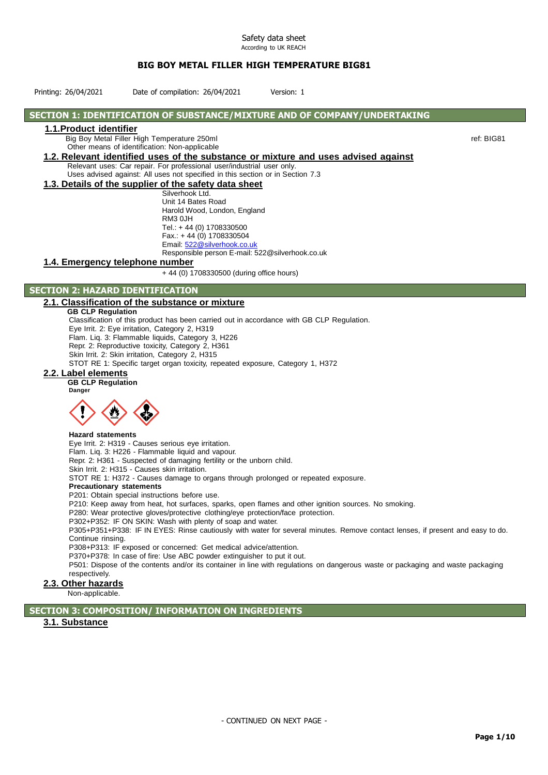Printing: 26/04/2021 Date of compilation: 26/04/2021 Version: 1

# **SECTION 1: IDENTIFICATION OF SUBSTANCE/MIXTURE AND OF COMPANY/UNDERTAKING**

## **1.1.Product identifier**

Big Boy Metal Filler High Temperature 250ml ref: BIG81

Other means of identification: Non-applicable

**1.2. Relevant identified uses of the substance or mixture and uses advised against** Relevant uses: Car repair. For professional user/industrial user only.

Uses advised against: All uses not specified in this section or in Section 7.3 **1.3. Details of the supplier of the safety data sheet**

Silverhook Ltd. Unit 14 Bates Road Harold Wood, London, England RM3 0JH Tel.: + 44 (0) 1708330500 Fax.: + 44 (0) 1708330504 Email[: 522@silverhook.co.uk](mailto:522@silverhook.co.uk) Responsible person E-mail: 522@silverhook.co.uk

## **1.4. Emergency telephone number**

+ 44 (0) 1708330500 (during office hours)

# **SECTION 2: HAZARD IDENTIFICATION**

#### **2.1. Classification of the substance or mixture**

**GB CLP Regulation** Classification of this product has been carried out in accordance with GB CLP Regulation. Eye Irrit. 2: Eye irritation, Category 2, H319 Flam. Liq. 3: Flammable liquids, Category 3, H226 Repr. 2: Reproductive toxicity, Category 2, H361 Skin Irrit. 2: Skin irritation, Category 2, H315 STOT RE 1: Specific target organ toxicity, repeated exposure, Category 1, H372

# **2.2. Label elements**

**GB CLP Regulation Danger**



#### **Hazard statements**

Eye Irrit. 2: H319 - Causes serious eye irritation.

Flam. Liq. 3: H226 - Flammable liquid and vapour.

Repr. 2: H361 - Suspected of damaging fertility or the unborn child.

Skin Irrit. 2: H315 - Causes skin irritation.

STOT RE 1: H372 - Causes damage to organs through prolonged or repeated exposure.

#### **Precautionary statements**

P201: Obtain special instructions before use.

P210: Keep away from heat, hot surfaces, sparks, open flames and other ignition sources. No smoking.

P280: Wear protective gloves/protective clothing/eye protection/face protection.

P302+P352: IF ON SKIN: Wash with plenty of soap and water.

P305+P351+P338: IF IN EYES: Rinse cautiously with water for several minutes. Remove contact lenses, if present and easy to do. Continue rinsing.

P308+P313: IF exposed or concerned: Get medical advice/attention.

P370+P378: In case of fire: Use ABC powder extinguisher to put it out.

P501: Dispose of the contents and/or its container in line with regulations on dangerous waste or packaging and waste packaging respectively.

# **2.3. Other hazards**

Non-applicable.

**SECTION 3: COMPOSITION/ INFORMATION ON INGREDIENTS**

# **3.1. Substance**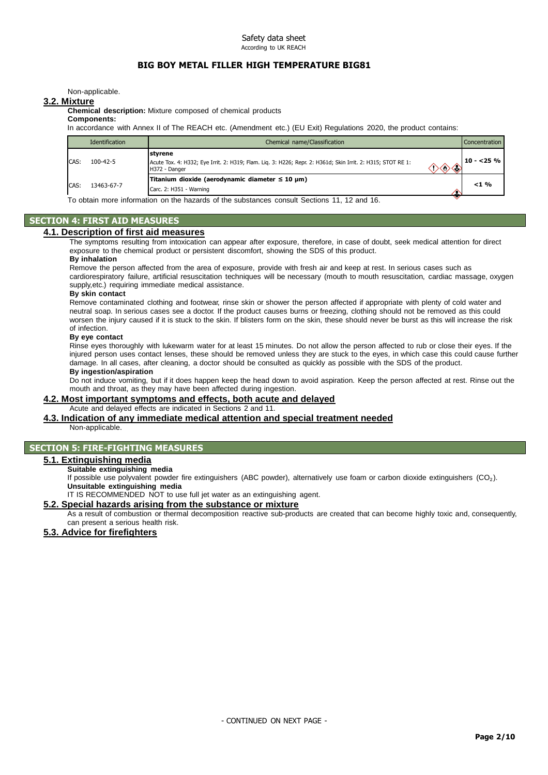Non-applicable.

#### **3.2. Mixture**

**Chemical description:** Mixture composed of chemical products

# **Components:**

In accordance with Annex II of The REACH etc. (Amendment etc.) (EU Exit) Regulations 2020, the product contains:

|      | Identification | Chemical name/Classification                                                                                                                   | Concentration |
|------|----------------|------------------------------------------------------------------------------------------------------------------------------------------------|---------------|
| CAS: | $100 - 42 - 5$ | Istvrene<br>Acute Tox. 4: H332; Eye Irrit. 2: H319; Flam. Liq. 3: H226; Repr. 2: H361d; Skin Irrit. 2: H315; STOT RE 1:<br>H372 - Danger<br>≺⊴ | $10 - 25 \%$  |
| CAS: | 13463-67-7     | Titanium dioxide (aerodynamic diameter ≤ 10 µm)<br>Carc. 2: H351 - Warning<br>.<br>.<br>$\sim$ $\sim$ $\sim$ $\sim$ $\sim$ $\sim$<br>.<br>.    | $< 1 \%$      |

To obtain more information on the hazards of the substances consult Sections 11, 12 and 16.

#### **SECTION 4: FIRST AID MEASURES**

#### **4.1. Description of first aid measures**

The symptoms resulting from intoxication can appear after exposure, therefore, in case of doubt, seek medical attention for direct exposure to the chemical product or persistent discomfort, showing the SDS of this product.

#### **By inhalation**

Remove the person affected from the area of exposure, provide with fresh air and keep at rest. In serious cases such as cardiorespiratory failure, artificial resuscitation techniques will be necessary (mouth to mouth resuscitation, cardiac massage, oxygen supply,etc.) requiring immediate medical assistance.

#### **By skin contact**

Remove contaminated clothing and footwear, rinse skin or shower the person affected if appropriate with plenty of cold water and neutral soap. In serious cases see a doctor. If the product causes burns or freezing, clothing should not be removed as this could worsen the injury caused if it is stuck to the skin. If blisters form on the skin, these should never be burst as this will increase the risk of infection.

## **By eye contact**

Rinse eyes thoroughly with lukewarm water for at least 15 minutes. Do not allow the person affected to rub or close their eyes. If the injured person uses contact lenses, these should be removed unless they are stuck to the eyes, in which case this could cause further damage. In all cases, after cleaning, a doctor should be consulted as quickly as possible with the SDS of the product. **By ingestion/aspiration**

Do not induce vomiting, but if it does happen keep the head down to avoid aspiration. Keep the person affected at rest. Rinse out the mouth and throat, as they may have been affected during ingestion.

# **4.2. Most important symptoms and effects, both acute and delayed**

Acute and delayed effects are indicated in Sections 2 and 11.

## **4.3. Indication of any immediate medical attention and special treatment needed**

Non-applicable.

## **SECTION 5: FIRE-FIGHTING MEASURES**

#### **5.1. Extinguishing media**

#### **Suitable extinguishing media**

If possible use polyvalent powder fire extinguishers (ABC powder), alternatively use foam or carbon dioxide extinguishers (CO₂). **Unsuitable extinguishing media**

IT IS RECOMMENDED NOT to use full jet water as an extinguishing agent.

## **5.2. Special hazards arising from the substance or mixture**

As a result of combustion or thermal decomposition reactive sub-products are created that can become highly toxic and, consequently, can present a serious health risk.

## **5.3. Advice for firefighters**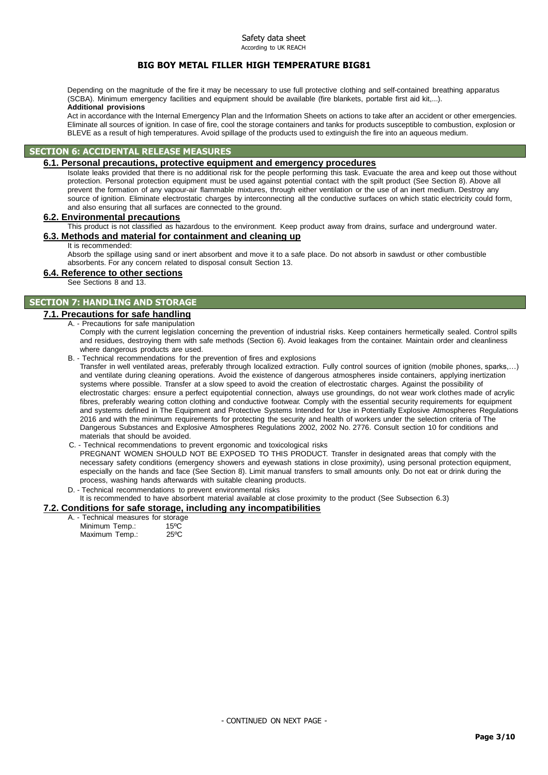Depending on the magnitude of the fire it may be necessary to use full protective clothing and self-contained breathing apparatus (SCBA). Minimum emergency facilities and equipment should be available (fire blankets, portable first aid kit,...). **Additional provisions**

Act in accordance with the Internal Emergency Plan and the Information Sheets on actions to take after an accident or other emergencies. Eliminate all sources of ignition. In case of fire, cool the storage containers and tanks for products susceptible to combustion, explosion or BLEVE as a result of high temperatures. Avoid spillage of the products used to extinguish the fire into an aqueous medium.

# **SECTION 6: ACCIDENTAL RELEASE MEASURES**

#### **6.1. Personal precautions, protective equipment and emergency procedures**

Isolate leaks provided that there is no additional risk for the people performing this task. Evacuate the area and keep out those without protection. Personal protection equipment must be used against potential contact with the spilt product (See Section 8). Above all prevent the formation of any vapour-air flammable mixtures, through either ventilation or the use of an inert medium. Destroy any source of ignition. Eliminate electrostatic charges by interconnecting all the conductive surfaces on which static electricity could form, and also ensuring that all surfaces are connected to the ground.

# **6.2. Environmental precautions**

This product is not classified as hazardous to the environment. Keep product away from drains, surface and underground water. **6.3. Methods and material for containment and cleaning up**

It is recommended:

Absorb the spillage using sand or inert absorbent and move it to a safe place. Do not absorb in sawdust or other combustible absorbents. For any concern related to disposal consult Section 13.

## **6.4. Reference to other sections**

See Sections 8 and 13.

# **SECTION 7: HANDLING AND STORAGE**

## **7.1. Precautions for safe handling**

#### A. - Precautions for safe manipulation

Comply with the current legislation concerning the prevention of industrial risks. Keep containers hermetically sealed. Control spills and residues, destroying them with safe methods (Section 6). Avoid leakages from the container. Maintain order and cleanliness where dangerous products are used.

B. - Technical recommendations for the prevention of fires and explosions

Transfer in well ventilated areas, preferably through localized extraction. Fully control sources of ignition (mobile phones, sparks,…) and ventilate during cleaning operations. Avoid the existence of dangerous atmospheres inside containers, applying inertization systems where possible. Transfer at a slow speed to avoid the creation of electrostatic charges. Against the possibility of electrostatic charges: ensure a perfect equipotential connection, always use groundings, do not wear work clothes made of acrylic fibres, preferably wearing cotton clothing and conductive footwear. Comply with the essential security requirements for equipment and systems defined in The Equipment and Protective Systems Intended for Use in Potentially Explosive Atmospheres Regulations 2016 and with the minimum requirements for protecting the security and health of workers under the selection criteria of The Dangerous Substances and Explosive Atmospheres Regulations 2002, 2002 No. 2776. Consult section 10 for conditions and materials that should be avoided.

- C. Technical recommendations to prevent ergonomic and toxicological risks PREGNANT WOMEN SHOULD NOT BE EXPOSED TO THIS PRODUCT. Transfer in designated areas that comply with the necessary safety conditions (emergency showers and eyewash stations in close proximity), using personal protection equipment, especially on the hands and face (See Section 8). Limit manual transfers to small amounts only. Do not eat or drink during the process, washing hands afterwards with suitable cleaning products.
- D. Technical recommendations to prevent environmental risks It is recommended to have absorbent material available at close proximity to the product (See Subsection 6.3)

## **7.2. Conditions for safe storage, including any incompatibilities**

A. - Technical measures for storage Minimum Temp.: 15°C

| Maximum Temp.: |  | $25^{\circ}$ C |
|----------------|--|----------------|
|                |  |                |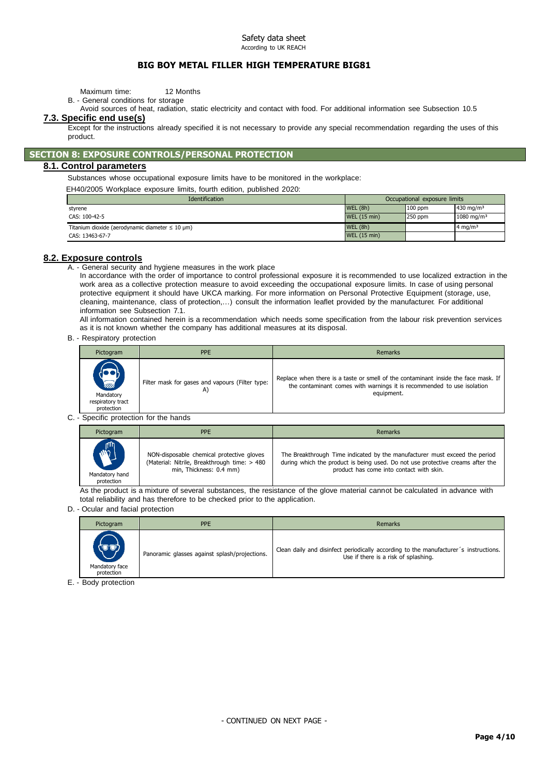Maximum time: 12 Months

- B. General conditions for storage
- Avoid sources of heat, radiation, static electricity and contact with food. For additional information see Subsection 10.5

#### **7.3. Specific end use(s)**

Except for the instructions already specified it is not necessary to provide any special recommendation regarding the uses of this product.

## **SECTION 8: EXPOSURE CONTROLS/PERSONAL PROTECTION**

#### **8.1. Control parameters**

Substances whose occupational exposure limits have to be monitored in the workplace:

EH40/2005 Workplace exposure limits, fourth edition, published 2020:

| <b>Identification</b>                                                  | Occupational exposure limits |           |                        |
|------------------------------------------------------------------------|------------------------------|-----------|------------------------|
| styrene                                                                | <b>WEL (8h)</b>              | $100$ ppm | 430 mg/m $3$           |
| CAS: 100-42-5                                                          | <b>WEL (15 min)</b>          | $250$ ppm | 1080 mg/m <sup>3</sup> |
| Titanium dioxide (aerodynamic diameter $\leq 10 \text{ }\mu\text{m}$ ) | <b>WEL (8h)</b>              |           | $4 \text{ ma/m}^3$     |
| CAS: 13463-67-7                                                        | <b>WEL (15 min)</b>          |           |                        |

#### **8.2. Exposure controls**

A. - General security and hygiene measures in the work place

In accordance with the order of importance to control professional exposure it is recommended to use localized extraction in the work area as a collective protection measure to avoid exceeding the occupational exposure limits. In case of using personal protective equipment it should have UKCA marking. For more information on Personal Protective Equipment (storage, use, cleaning, maintenance, class of protection,…) consult the information leaflet provided by the manufacturer. For additional information see Subsection 7.1.

All information contained herein is a recommendation which needs some specification from the labour risk prevention services as it is not known whether the company has additional measures at its disposal.

B. - Respiratory protection

| Pictogram                                                      | <b>PPE</b>                                            | Remarks                                                                                                                                                                    |
|----------------------------------------------------------------|-------------------------------------------------------|----------------------------------------------------------------------------------------------------------------------------------------------------------------------------|
| <b>READERS</b><br>Mandatory<br>respiratory tract<br>protection | Filter mask for gases and vapours (Filter type:<br>A) | Replace when there is a taste or smell of the contaminant inside the face mask. If<br>the contaminant comes with warnings it is recommended to use isolation<br>equipment. |

C. - Specific protection for the hands

| Pictogram      | <b>PPE</b>                                   | Remarks                                                                        |
|----------------|----------------------------------------------|--------------------------------------------------------------------------------|
| <b>ANTI</b>    | NON-disposable chemical protective gloves    | The Breakthrough Time indicated by the manufacturer must exceed the period     |
| Mandatory hand | (Material: Nitrile, Breakthrough time: > 480 | during which the product is being used. Do not use protective creams after the |
| protection     | min, Thickness: 0.4 mm)                      | product has come into contact with skin.                                       |

As the product is a mixture of several substances, the resistance of the glove material cannot be calculated in advance with total reliability and has therefore to be checked prior to the application.

#### D. - Ocular and facial protection

| Pictogram                            | <b>PPE</b>                                    | <b>Remarks</b>                                                                                                               |
|--------------------------------------|-----------------------------------------------|------------------------------------------------------------------------------------------------------------------------------|
| (UU)<br>Mandatory face<br>protection | Panoramic glasses against splash/projections. | Clean daily and disinfect periodically according to the manufacturer's instructions.<br>Use if there is a risk of splashing. |

E. - Body protection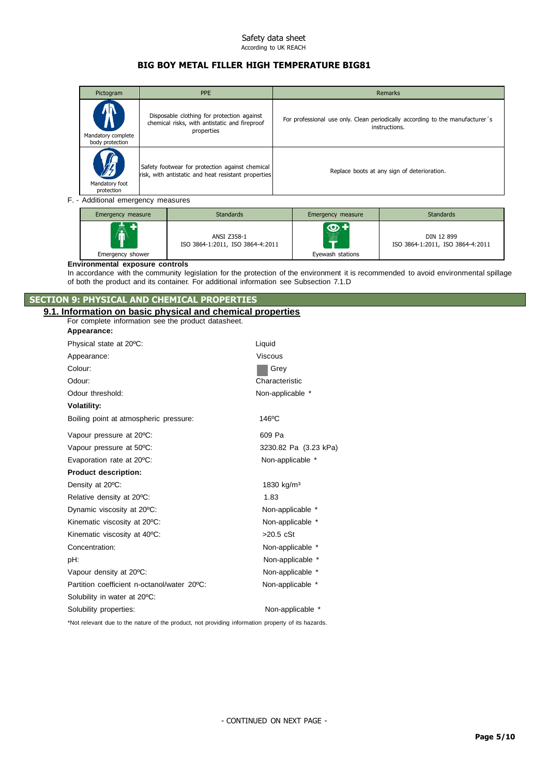# **BIG BOY METAL FILLER HIGH TEMPERATURE BIG81**

| Pictogram                                               | PPE                                                                                                       |                                             |  | Remarks                                                                                        |
|---------------------------------------------------------|-----------------------------------------------------------------------------------------------------------|---------------------------------------------|--|------------------------------------------------------------------------------------------------|
| $\blacksquare$<br>Mandatory complete<br>body protection | Disposable clothing for protection against<br>chemical risks, with antistatic and fireproof<br>properties |                                             |  | For professional use only. Clean periodically according to the manufacturer's<br>instructions. |
| Mandatory foot<br>protection                            | Safety footwear for protection against chemical<br>risk, with antistatic and heat resistant properties    | Replace boots at any sign of deterioration. |  |                                                                                                |
| F. - Additional emergency measures                      |                                                                                                           |                                             |  |                                                                                                |
|                                                         | $C_{\text{max}}$ and $\sim$ decreases.                                                                    |                                             |  | $C_1$ and $C_2$ and $C_3$                                                                      |

| Emergency measure | <b>Standards</b>                                | Emergency measure                 | <b>Standards</b>                               |
|-------------------|-------------------------------------------------|-----------------------------------|------------------------------------------------|
| AT.               | ANSI Z358-1<br>ISO 3864-1:2011, ISO 3864-4:2011 | $\bm{\odot}$ +<br>.<br>.<br><br>E | DIN 12 899<br>ISO 3864-1:2011, ISO 3864-4:2011 |
| Emergency shower  |                                                 | Eyewash stations                  |                                                |

#### **Environmental exposure controls**

In accordance with the community legislation for the protection of the environment it is recommended to avoid environmental spillage of both the product and its container. For additional information see Subsection 7.1.D

# **SECTION 9: PHYSICAL AND CHEMICAL PROPERTIES**

# **9.1. Information on basic physical and chemical properties**

| For complete information see the product datasheet.                                                |                        |  |  |  |  |
|----------------------------------------------------------------------------------------------------|------------------------|--|--|--|--|
| Appearance:                                                                                        |                        |  |  |  |  |
| Physical state at 20°C:                                                                            | Liquid                 |  |  |  |  |
| Appearance:                                                                                        | <b>Viscous</b>         |  |  |  |  |
| Colour:                                                                                            | Grey                   |  |  |  |  |
| Odour:                                                                                             | Characteristic         |  |  |  |  |
| Odour threshold:                                                                                   | Non-applicable *       |  |  |  |  |
| <b>Volatility:</b>                                                                                 |                        |  |  |  |  |
| Boiling point at atmospheric pressure:                                                             | 146°C                  |  |  |  |  |
| Vapour pressure at 20°C:                                                                           | 609 Pa                 |  |  |  |  |
| Vapour pressure at 50°C:                                                                           | 3230.82 Pa (3.23 kPa)  |  |  |  |  |
| Evaporation rate at 20°C:                                                                          | Non-applicable *       |  |  |  |  |
| <b>Product description:</b>                                                                        |                        |  |  |  |  |
| Density at 20°C:                                                                                   | 1830 kg/m <sup>3</sup> |  |  |  |  |
| Relative density at 20°C:                                                                          | 1.83                   |  |  |  |  |
| Dynamic viscosity at 20°C:                                                                         | Non-applicable *       |  |  |  |  |
| Kinematic viscosity at 20°C:                                                                       | Non-applicable *       |  |  |  |  |
| Kinematic viscosity at 40°C:                                                                       | $>20.5$ cSt            |  |  |  |  |
| Concentration:                                                                                     | Non-applicable *       |  |  |  |  |
| pH:                                                                                                | Non-applicable *       |  |  |  |  |
| Vapour density at 20°C:                                                                            | Non-applicable *       |  |  |  |  |
| Partition coefficient n-octanol/water 20°C:                                                        | Non-applicable *       |  |  |  |  |
| Solubility in water at 20°C:                                                                       |                        |  |  |  |  |
| Solubility properties:                                                                             | Non-applicable *       |  |  |  |  |
| *Not relevant due to the nature of the product, not providing information property of its hazards. |                        |  |  |  |  |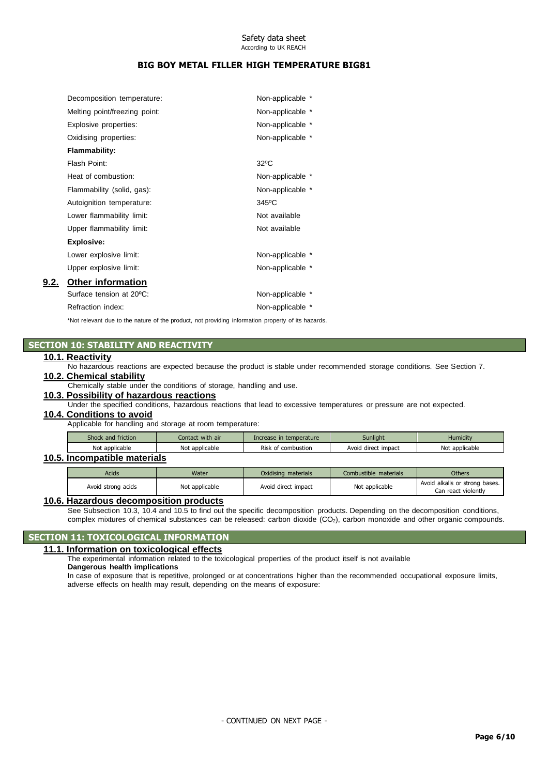# **BIG BOY METAL FILLER HIGH TEMPERATURE BIG81**

| Decomposition temperature:    | Non-applicable * |
|-------------------------------|------------------|
| Melting point/freezing point: | Non-applicable * |
| Explosive properties:         | Non-applicable * |
| Oxidising properties:         | Non-applicable * |
| Flammability:                 |                  |
| Flash Point:                  | $32^{\circ}$ C   |
| Heat of combustion:           | Non-applicable * |
| Flammability (solid, gas):    | Non-applicable * |
| Autoignition temperature:     | 345°C            |
| Lower flammability limit:     | Not available    |
| Upper flammability limit:     | Not available    |
| <b>Explosive:</b>             |                  |
| Lower explosive limit:        | Non-applicable * |
| Upper explosive limit:        | Non-applicable * |
| <b>Other information</b>      |                  |
| Surface tension at 20°C:      | Non-applicable * |
| Refraction index:             | Non-applicable * |

\*Not relevant due to the nature of the product, not providing information property of its hazards.

## **SECTION 10: STABILITY AND REACTIVITY**

## **10.1. Reactivity**

**9.2.** 

No hazardous reactions are expected because the product is stable under recommended storage conditions. See Section 7.

# **10.2. Chemical stability**

Chemically stable under the conditions of storage, handling and use.

# **10.3. Possibility of hazardous reactions**

Under the specified conditions, hazardous reactions that lead to excessive temperatures or pressure are not expected.

# **10.4. Conditions to avoid**

Applicable for handling and storage at room temperature:

| Shock and friction | Contact with air | Increase in temperature | <b>Sunlight</b>     | Humidity       |
|--------------------|------------------|-------------------------|---------------------|----------------|
| Not applicable     | Not applicable   | Risk of combustion      | Avoid direct impact | Not applicable |

# **10.5. Incompatible materials**

| <b>Acids</b>       | Water          | Oxidising materials | Combustible materials | <b>Others</b>                                         |
|--------------------|----------------|---------------------|-----------------------|-------------------------------------------------------|
| Avoid strong acids | Not applicable | Avoid direct impact | Not applicable        | Avoid alkalis or strong bases.<br>Can react violently |

#### **10.6. Hazardous decomposition products**

See Subsection 10.3, 10.4 and 10.5 to find out the specific decomposition products. Depending on the decomposition conditions, complex mixtures of chemical substances can be released: carbon dioxide (CO2), carbon monoxide and other organic compounds.

## **SECTION 11: TOXICOLOGICAL INFORMATION**

**11.1. Information on toxicological effects**

The experimental information related to the toxicological properties of the product itself is not available

# **Dangerous health implications**

In case of exposure that is repetitive, prolonged or at concentrations higher than the recommended occupational exposure limits, adverse effects on health may result, depending on the means of exposure: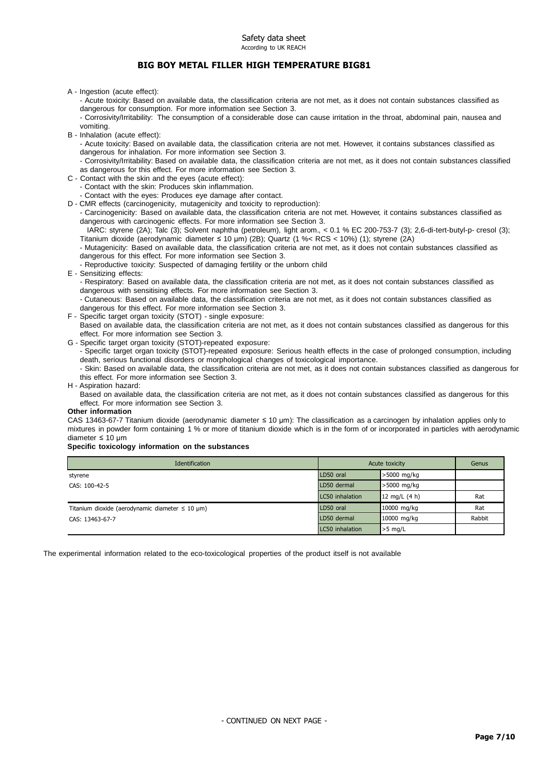# **BIG BOY METAL FILLER HIGH TEMPERATURE BIG81**

A - Ingestion (acute effect):

- Acute toxicity: Based on available data, the classification criteria are not met, as it does not contain substances classified as dangerous for consumption. For more information see Section 3.

- Corrosivity/Irritability: The consumption of a considerable dose can cause irritation in the throat, abdominal pain, nausea and vomiting.

B - Inhalation (acute effect):

- Acute toxicity: Based on available data, the classification criteria are not met. However, it contains substances classified as dangerous for inhalation. For more information see Section 3.

- Corrosivity/Irritability: Based on available data, the classification criteria are not met, as it does not contain substances classified as dangerous for this effect. For more information see Section 3.

- C Contact with the skin and the eyes (acute effect):
	- Contact with the skin: Produces skin inflammation.
	- Contact with the eyes: Produces eye damage after contact.

D - CMR effects (carcinogenicity, mutagenicity and toxicity to reproduction):

- Carcinogenicity: Based on available data, the classification criteria are not met. However, it contains substances classified as dangerous with carcinogenic effects. For more information see Section 3.

IARC: styrene (2A); Talc (3); Solvent naphtha (petroleum), light arom., < 0.1 % EC 200-753-7 (3); 2,6-di-tert-butyl-p- cresol (3); Titanium dioxide (aerodynamic diameter ≤ 10 μm) (2B); Quartz (1 %< RCS < 10%) (1); styrene (2A)

- Mutagenicity: Based on available data, the classification criteria are not met, as it does not contain substances classified as dangerous for this effect. For more information see Section 3.

- Reproductive toxicity: Suspected of damaging fertility or the unborn child
- E Sensitizing effects:

- Respiratory: Based on available data, the classification criteria are not met, as it does not contain substances classified as dangerous with sensitising effects. For more information see Section 3.

- Cutaneous: Based on available data, the classification criteria are not met, as it does not contain substances classified as dangerous for this effect. For more information see Section 3.

- F Specific target organ toxicity (STOT) single exposure:
	- Based on available data, the classification criteria are not met, as it does not contain substances classified as dangerous for this effect. For more information see Section 3.
- G Specific target organ toxicity (STOT)-repeated exposure:

- Specific target organ toxicity (STOT)-repeated exposure: Serious health effects in the case of prolonged consumption, including death, serious functional disorders or morphological changes of toxicological importance.

- Skin: Based on available data, the classification criteria are not met, as it does not contain substances classified as dangerous for this effect. For more information see Section 3.

H - Aspiration hazard:

Based on available data, the classification criteria are not met, as it does not contain substances classified as dangerous for this effect. For more information see Section 3.

#### **Other information**

CAS 13463-67-7 Titanium dioxide (aerodynamic diameter ≤ 10 μm): The classification as a carcinogen by inhalation applies only to mixtures in powder form containing 1 % or more of titanium dioxide which is in the form of or incorporated in particles with aerodynamic diameter ≤ 10 μm

#### **Specific toxicology information on the substances**

| <b>Identification</b>                                                  | Acute toxicity  |                 | Genus  |
|------------------------------------------------------------------------|-----------------|-----------------|--------|
| styrene                                                                | LD50 oral       | >5000 mg/kg     |        |
| CAS: 100-42-5                                                          | LD50 dermal     | >5000 mg/kg     |        |
|                                                                        | LC50 inhalation | 12 mg/L $(4 h)$ | Rat    |
| Titanium dioxide (aerodynamic diameter $\leq 10 \text{ }\mu\text{m}$ ) | LD50 oral       | 10000 mg/kg     | Rat    |
| CAS: 13463-67-7                                                        | LD50 dermal     | 10000 mg/kg     | Rabbit |
|                                                                        | LC50 inhalation | $>5$ mg/L       |        |

The experimental information related to the eco-toxicological properties of the product itself is not available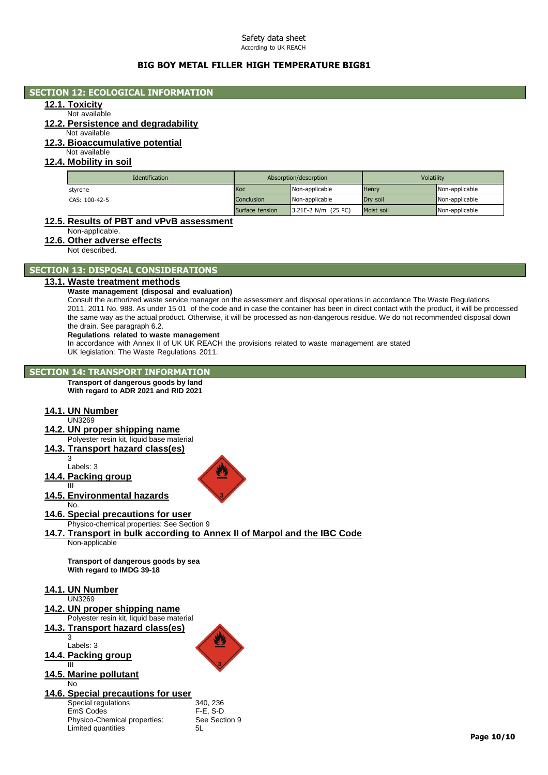# **BIG BOY METAL FILLER HIGH TEMPERATURE BIG81**

## **SECTION 12: ECOLOGICAL INFORMATION**

# **12.1. Toxicity**

# Not available

# **12.2. Persistence and degradability**

Not available **12.3. Bioaccumulative potential**

# Not available

## **12.4. Mobility in soil**

| <b>Identification</b> | Absorption/desorption |                     | Volatility   |                |
|-----------------------|-----------------------|---------------------|--------------|----------------|
| styrene               | Koc                   | Non-applicable      | <b>Henry</b> | Non-applicable |
| CAS: 100-42-5         | <b>Conclusion</b>     | Non-applicable      | Drv soil     | Non-applicable |
|                       | Surface tension       | 3.21E-2 N/m (25 °C) | Moist soil   | Non-applicable |

## **12.5. Results of PBT and vPvB assessment**

Non-applicable.

## **12.6. Other adverse effects**

Not described.

# **SECTION 13: DISPOSAL CONSIDERATIONS**

#### **13.1. Waste treatment methods**

#### **Waste management (disposal and evaluation)**

Consult the authorized waste service manager on the assessment and disposal operations in accordance The Waste Regulations 2011, 2011 No. 988. As under 15 01 of the code and in case the container has been in direct contact with the product, it will be processed the same way as the actual product. Otherwise, it will be processed as non-dangerous residue. We do not recommended disposal down the drain. See paragraph 6.2.

#### **Regulations related to waste management**

In accordance with Annex II of UK UK REACH the provisions related to waste management are stated UK legislation: The Waste Regulations 2011.

## **SECTION 14: TRANSPORT INFORMATION**

**Transport of dangerous goods by land With regard to ADR 2021 and RID 2021**

## **14.1. UN Number**

UN3269

# **14.2. UN proper shipping name**

- Polyester resin kit, liquid base material
- **14.3. Transport hazard class(es)**
	- 3 Labels: 3

## **14.4. Packing group**

III

**14.5. Environmental hazards**

#### No. **14.6. Special precautions for user**

Physico-chemical properties: See Section 9

#### **14.7. Transport in bulk according to Annex II of Marpol and the IBC Code** Non-applicable

**Transport of dangerous goods by sea With regard to IMDG 39-18**

#### **14.1. UN Number**

| 14.2. UN proper shipping name             |
|-------------------------------------------|
| Polyester resin kit, liquid base material |
| 14.3. Transport hazard class(es)          |
|                                           |
| Labels: 3                                 |
| 111 Docking aroun                         |

#### **14.4. Packing group** III

#### **14.5. Marine pollutant** No

# **14.6. Special precautions for user**

Special regulations 340, 236<br>EmS Codes F-E, S-D EmS Codes Physico-Chemical properties: See Section 9<br>
Limited quantities 5L Limited quantities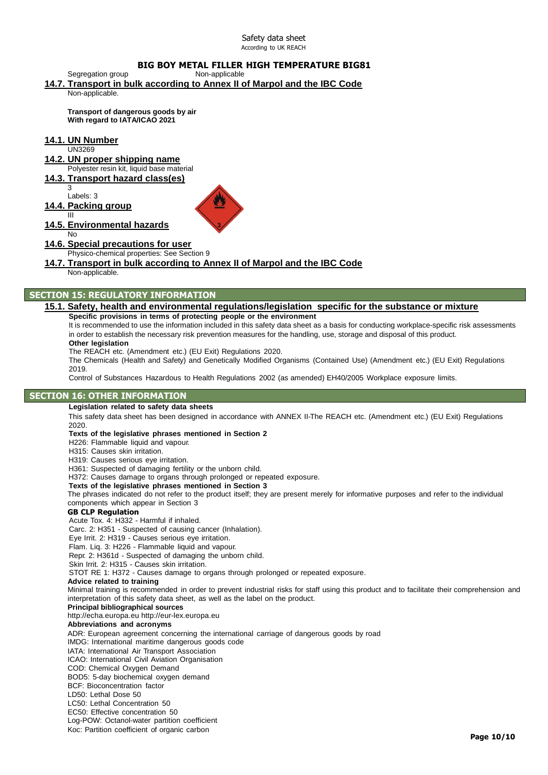# **BIG BOY METAL FILLER HIGH TEMPERATURE BIG81**

**14.7. Transport in bulk according to Annex II of Marpol and the IBC Code** Non-applicable.

**Transport of dangerous goods by air With regard to IATA/ICAO 2021**

## **14.1. UN Number**

Segregation group

UN3269

# **14.2. UN proper shipping name**

Polyester resin kit, liquid base material

#### **14.3. Transport hazard class(es)** 3

Labels: 3

# **14.4. Packing group**



#### **14.5. Environmental hazards** No

## **14.6. Special precautions for user**

Physico-chemical properties: See Section 9

# **14.7. Transport in bulk according to Annex II of Marpol and the IBC Code**

Non-applicable.

## **SECTION 15: REGULATORY INFORMATION**

#### **15.1. Safety, health and environmental regulations/legislation specific for the substance or mixture Specific provisions in terms of protecting people or the environment**

It is recommended to use the information included in this safety data sheet as a basis for conducting workplace-specific risk assessments in order to establish the necessary risk prevention measures for the handling, use, storage and disposal of this product. **Other legislation**

The REACH etc. (Amendment etc.) (EU Exit) Regulations 2020.

The Chemicals (Health and Safety) and Genetically Modified Organisms (Contained Use) (Amendment etc.) (EU Exit) Regulations 2019.

Control of Substances Hazardous to Health Regulations 2002 (as amended) EH40/2005 Workplace exposure limits.

## **SECTION 16: OTHER INFORMATION**

#### **Legislation related to safety data sheets**

This safety data sheet has been designed in accordance with ANNEX II-The REACH etc. (Amendment etc.) (EU Exit) Regulations 2020.

#### **Texts of the legislative phrases mentioned in Section 2**

H226: Flammable liquid and vapour.

H315: Causes skin irritation.

H319: Causes serious eye irritation.

H361: Suspected of damaging fertility or the unborn child.

H372: Causes damage to organs through prolonged or repeated exposure.

**Texts of the legislative phrases mentioned in Section 3**

The phrases indicated do not refer to the product itself; they are present merely for informative purposes and refer to the individual components which appear in Section 3

#### **GB CLP Regulation**

Acute Tox. 4: H332 - Harmful if inhaled.

Carc. 2: H351 - Suspected of causing cancer (Inhalation).

Eye Irrit. 2: H319 - Causes serious eye irritation.

Flam. Liq. 3: H226 - Flammable liquid and vapour.

Repr. 2: H361d - Suspected of damaging the unborn child.

Skin Irrit. 2: H315 - Causes skin irritation.

STOT RE 1: H372 - Causes damage to organs through prolonged or repeated exposure.

#### **Advice related to training**

Minimal training is recommended in order to prevent industrial risks for staff using this product and to facilitate their comprehension and interpretation of this safety data sheet, as well as the label on the product.

#### **Principal bibliographical sources**

[http://echa.europa.eu](http://echa.europa.eu/) [http://eur-lex.europa.eu](http://eur-lex.europa.eu/)

#### **Abbreviations and acronyms**

ADR: European agreement concerning the international carriage of dangerous goods by road

IMDG: International maritime dangerous goods code

IATA: International Air Transport Association

ICAO: International Civil Aviation Organisation

COD: Chemical Oxygen Demand

BOD5: 5-day biochemical oxygen demand

BCF: Bioconcentration factor

LD50: Lethal Dose 50 LC50: Lethal Concentration 50

EC50: Effective concentration 50

Log-POW: Octanol-water partition coefficient

Koc: Partition coefficient of organic carbon